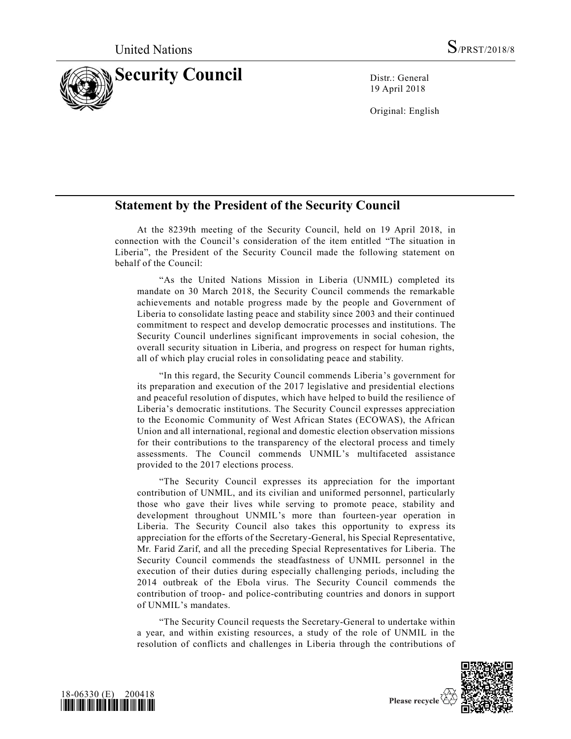

19 April 2018

Original: English

## **Statement by the President of the Security Council**

At the 8239th meeting of the Security Council, held on 19 April 2018, in connection with the Council's consideration of the item entitled "The situation in Liberia", the President of the Security Council made the following statement on behalf of the Council:

"As the United Nations Mission in Liberia (UNMIL) completed its mandate on 30 March 2018, the Security Council commends the remarkable achievements and notable progress made by the people and Government of Liberia to consolidate lasting peace and stability since 2003 and their continued commitment to respect and develop democratic processes and institutions. The Security Council underlines significant improvements in social cohesion, the overall security situation in Liberia, and progress on respect for human rights, all of which play crucial roles in consolidating peace and stability.

"In this regard, the Security Council commends Liberia's government for its preparation and execution of the 2017 legislative and presidential elections and peaceful resolution of disputes, which have helped to build the resilience of Liberia's democratic institutions. The Security Council expresses appreciation to the Economic Community of West African States (ECOWAS), the African Union and all international, regional and domestic election observation missions for their contributions to the transparency of the electoral process and timely assessments. The Council commends UNMIL's multifaceted assistance provided to the 2017 elections process.

"The Security Council expresses its appreciation for the important contribution of UNMIL, and its civilian and uniformed personnel, particularly those who gave their lives while serving to promote peace, stability and development throughout UNMIL's more than fourteen-year operation in Liberia. The Security Council also takes this opportunity to express its appreciation for the efforts of the Secretary-General, his Special Representative, Mr. Farid Zarif, and all the preceding Special Representatives for Liberia. The Security Council commends the steadfastness of UNMIL personnel in the execution of their duties during especially challenging periods, including the 2014 outbreak of the Ebola virus. The Security Council commends the contribution of troop- and police-contributing countries and donors in support of UNMIL's mandates.

"The Security Council requests the Secretary-General to undertake within a year, and within existing resources, a study of the role of UNMIL in the resolution of conflicts and challenges in Liberia through the contributions of



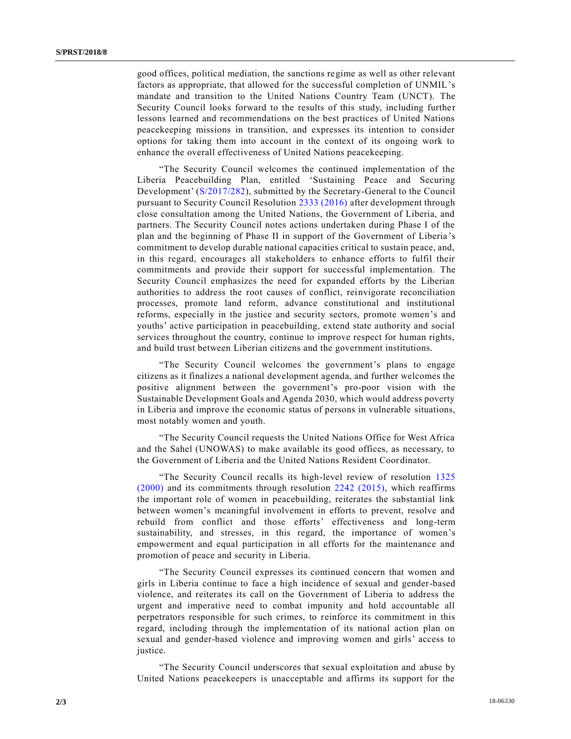good offices, political mediation, the sanctions regime as well as other relevant factors as appropriate, that allowed for the successful completion of UNMIL's mandate and transition to the United Nations Country Team (UNCT). The Security Council looks forward to the results of this study, including further lessons learned and recommendations on the best practices of United Nations peacekeeping missions in transition, and expresses its intention to consider options for taking them into account in the context of its ongoing work to enhance the overall effectiveness of United Nations peacekeeping.

"The Security Council welcomes the continued implementation of the Liberia Peacebuilding Plan, entitled 'Sustaining Peace and Securing Development' [\(S/2017/282\)](https://undocs.org/S/2017/282), submitted by the Secretary-General to the Council pursuant to Security Council Resolution [2333 \(2016\)](https://undocs.org/S/RES/2333(2016)) after development through close consultation among the United Nations, the Government of Liberia, and partners. The Security Council notes actions undertaken during Phase I of the plan and the beginning of Phase II in support of the Government of Liberia 's commitment to develop durable national capacities critical to sustain peace, and, in this regard, encourages all stakeholders to enhance efforts to fulfil their commitments and provide their support for successful implementation. The Security Council emphasizes the need for expanded efforts by the Liberian authorities to address the root causes of conflict, reinvigorate reconciliation processes, promote land reform, advance constitutional and institutional reforms, especially in the justice and security sectors, promote women's and youths' active participation in peacebuilding, extend state authority and social services throughout the country, continue to improve respect for human rights, and build trust between Liberian citizens and the government institutions.

"The Security Council welcomes the government's plans to engage citizens as it finalizes a national development agenda, and further welcomes the positive alignment between the government's pro-poor vision with the Sustainable Development Goals and Agenda 2030, which would address poverty in Liberia and improve the economic status of persons in vulnerable situations, most notably women and youth.

"The Security Council requests the United Nations Office for West Africa and the Sahel (UNOWAS) to make available its good offices, as necessary, to the Government of Liberia and the United Nations Resident Coordinator.

"The Security Council recalls its high-level review of resolution [1325](https://undocs.org/S/RES/1325(2000))  [\(2000\)](https://undocs.org/S/RES/1325(2000)) and its commitments through resolution [2242 \(2015\),](https://undocs.org/S/RES/2242(2015)) which reaffirms the important role of women in peacebuilding, reiterates the substantial link between women's meaningful involvement in efforts to prevent, resolve and rebuild from conflict and those efforts' effectiveness and long-term sustainability, and stresses, in this regard, the importance of women's empowerment and equal participation in all efforts for the maintenance and promotion of peace and security in Liberia.

"The Security Council expresses its continued concern that women and girls in Liberia continue to face a high incidence of sexual and gender-based violence, and reiterates its call on the Government of Liberia to address the urgent and imperative need to combat impunity and hold accountable all perpetrators responsible for such crimes, to reinforce its commitment in this regard, including through the implementation of its national action plan on sexual and gender-based violence and improving women and girls' access to justice.

"The Security Council underscores that sexual exploitation and abuse by United Nations peacekeepers is unacceptable and affirms its support for the